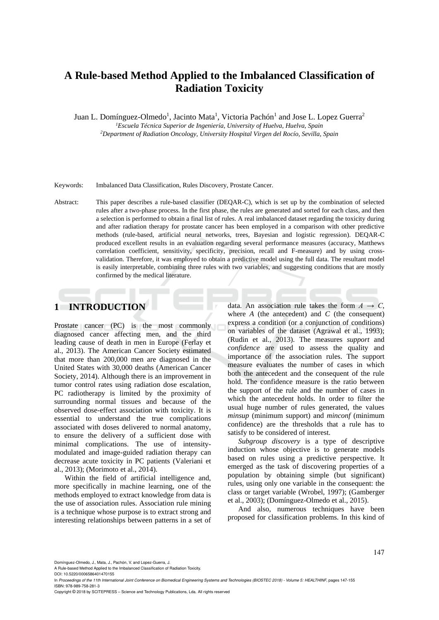# **A Rule-based Method Applied to the Imbalanced Classification of Radiation Toxicity**

Juan L. Domínguez-Olmedo<sup>1</sup>, Jacinto Mata<sup>1</sup>, Victoria Pachón<sup>1</sup> and Jose L. Lopez Guerra<sup>2</sup> *<sup>1</sup>Escuela Técnica Superior de Ingeniería, University of Huelva, Huelva, Spain <sup>2</sup>Department of Radiation Oncology, University Hospital Virgen del Rocío, Sevilla, Spain*

Keywords: Imbalanced Data Classification, Rules Discovery, Prostate Cancer.

Abstract: This paper describes a rule-based classifier (DEQAR-C), which is set up by the combination of selected rules after a two-phase process. In the first phase, the rules are generated and sorted for each class, and then a selection is performed to obtain a final list of rules. A real imbalanced dataset regarding the toxicity during and after radiation therapy for prostate cancer has been employed in a comparison with other predictive methods (rule-based, artificial neural networks, trees, Bayesian and logistic regression). DEQAR-C produced excellent results in an evaluation regarding several performance measures (accuracy, Matthews correlation coefficient, sensitivity, specificity, precision, recall and F-measure) and by using crossvalidation. Therefore, it was employed to obtain a predictive model using the full data. The resultant model is easily interpretable, combining three rules with two variables, and suggesting conditions that are mostly confirmed by the medical literature.

# **1 INTRODUCTION**

Prostate cancer (PC) is the most commonly diagnosed cancer affecting men, and the third leading cause of death in men in Europe (Ferlay et al., 2013). The American Cancer Society estimated that more than 200,000 men are diagnosed in the United States with 30,000 deaths (American Cancer Society, 2014). Although there is an improvement in tumor control rates using radiation dose escalation, PC radiotherapy is limited by the proximity of surrounding normal tissues and because of the observed dose-effect association with toxicity. It is essential to understand the true complications associated with doses delivered to normal anatomy, to ensure the delivery of a sufficient dose with minimal complications. The use of intensitymodulated and image-guided radiation therapy can decrease acute toxicity in PC patients (Valeriani et al., 2013); (Morimoto et al., 2014).

Within the field of artificial intelligence and, more specifically in machine learning, one of the methods employed to extract knowledge from data is the use of association rules. Association rule mining is a technique whose purpose is to extract strong and interesting relationships between patterns in a set of data. An association rule takes the form  $A \rightarrow C$ , where *A* (the antecedent) and *C* (the consequent) express a condition (or a conjunction of conditions) on variables of the dataset (Agrawal et al., 1993); (Rudin et al., 2013). The measures *support* and *confidence* are used to assess the quality and importance of the association rules. The support measure evaluates the number of cases in which both the antecedent and the consequent of the rule hold. The confidence measure is the ratio between the support of the rule and the number of cases in which the antecedent holds. In order to filter the usual huge number of rules generated, the values *minsup* (minimum support) and *minconf* (minimum confidence) are the thresholds that a rule has to satisfy to be considered of interest.

*Subgroup discovery* is a type of descriptive induction whose objective is to generate models based on rules using a predictive perspective. It emerged as the task of discovering properties of a population by obtaining simple (but significant) rules, using only one variable in the consequent: the class or target variable (Wrobel, 1997); (Gamberger et al., 2003); (Domínguez-Olmedo et al., 2015).

And also, numerous techniques have been proposed for classification problems. In this kind of

Domínguez-Olmedo, J., Mata, J., Pachón, V. and Lopez-Guerra, J.

A Rule-based Method Applied to the Imbalanced Classification of Radiation Toxicity.

Copyright © 2018 by SCITEPRESS – Science and Technology Publications, Lda. All rights reserved

DOI: 10.5220/0006586401470155 In *Proceedings of the 11th International Joint Conference on Biomedical Engineering Systems and Technologies (BIOSTEC 2018) - Volume 5: HEALTHINF*, pages 147-155 ISBN: 978-989-758-281-3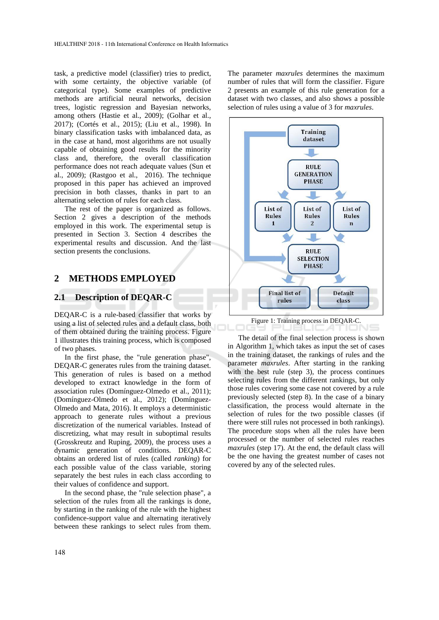task, a predictive model (classifier) tries to predict, with some certainty, the objective variable (of categorical type). Some examples of predictive methods are artificial neural networks, decision trees, logistic regression and Bayesian networks, among others (Hastie et al., 2009); (Golhar et al., 2017); (Cortés et al., 2015); (Liu et al., 1998). In binary classification tasks with imbalanced data, as in the case at hand, most algorithms are not usually capable of obtaining good results for the minority class and, therefore, the overall classification performance does not reach adequate values (Sun et al., 2009); (Rastgoo et al., 2016). The technique proposed in this paper has achieved an improved precision in both classes, thanks in part to an alternating selection of rules for each class.

The rest of the paper is organized as follows. Section 2 gives a description of the methods employed in this work. The experimental setup is presented in Section 3. Section 4 describes the experimental results and discussion. And the last section presents the conclusions.

## **2 METHODS EMPLOYED**

#### **2.1 Description of DEQAR-C**

DEQAR-C is a rule-based classifier that works by using a list of selected rules and a default class, both of them obtained during the training process. Figure 1 illustrates this training process, which is composed of two phases.

In the first phase, the "rule generation phase", DEQAR-C generates rules from the training dataset. This generation of rules is based on a method developed to extract knowledge in the form of association rules (Domínguez-Olmedo et al., 2011); (Domínguez-Olmedo et al., 2012); (Domínguez-Olmedo and Mata, 2016). It employs a deterministic approach to generate rules without a previous discretization of the numerical variables. Instead of discretizing, what may result in suboptimal results (Grosskreutz and Ruping, 2009), the process uses a dynamic generation of conditions. DEQAR-C obtains an ordered list of rules (called *ranking*) for each possible value of the class variable, storing separately the best rules in each class according to their values of confidence and support.

In the second phase, the "rule selection phase", a selection of the rules from all the rankings is done, by starting in the ranking of the rule with the highest confidence-support value and alternating iteratively between these rankings to select rules from them.

The parameter *maxrules* determines the maximum number of rules that will form the classifier. Figure 2 presents an example of this rule generation for a dataset with two classes, and also shows a possible selection of rules using a value of 3 for *maxrules*.



The detail of the final selection process is shown in Algorithm 1, which takes as input the set of cases in the training dataset, the rankings of rules and the parameter *maxrules*. After starting in the ranking with the best rule (step 3), the process continues selecting rules from the different rankings, but only those rules covering some case not covered by a rule previously selected (step 8). In the case of a binary classification, the process would alternate in the selection of rules for the two possible classes (if there were still rules not processed in both rankings). The procedure stops when all the rules have been processed or the number of selected rules reaches *maxrules* (step 17). At the end, the default class will be the one having the greatest number of cases not covered by any of the selected rules.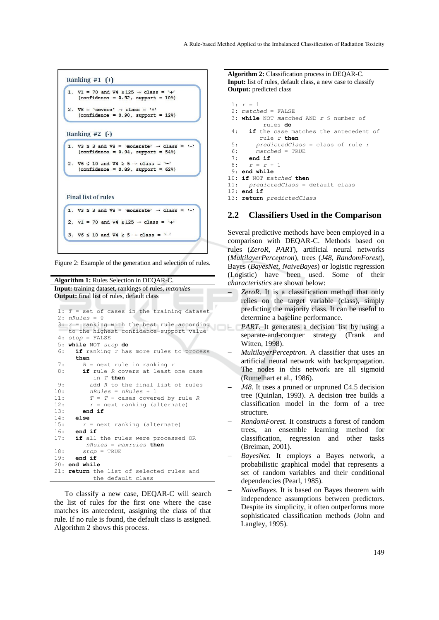

Figure 2: Example of the generation and selection of rules.

**Algorithm 1:** Rules Selection in DEQAR-C. **Input:** training dataset, rankings of rules, *maxrules* **Output:** final list of rules, default class

```
1: T = set of cases in the training dataset
 2: nRules = 0
 3: r = ranking with the best rule according 
     to the highest confidence-support value
 4 \cdot 5 \epsilon \alpha = FALSE
5: while NOT stop do
 6: if ranking r has more rules to process
       then
 7: R = next rule in ranking r
8: if rule R covers at least one case 
  in T then
9: add R to the final list of rules<br>10: nRules = nRules + 1nRules = nRules + 111: T = T - \text{cases covered by rule } R<br>12. r = \text{next} \text{ ranking (alternate)}r = next ranking (alternate)
13: end if
      14: else
15: r = next ranking (alternate)
16: end if
17: if all the rules were processed OR 
nRules = maxrules then<br>18· <br>stop = TRUE
        18: stop = TRUE
19: end if
20: end while
21: return the list of selected rules and
             the default class
```
To classify a new case, DEQAR-C will search the list of rules for the first one where the case matches its antecedent, assigning the class of that rule. If no rule is found, the default class is assigned. Algorithm 2 shows this process.

**Algorithm 2:** Classification process in DEQAR-C. **Input:** list of rules, default class, a new case to classify **Output:** predicted class 1: *r* = 1 2: *matched* = FALSE 3: **while** NOT *matched* AND *r* ≤ number of rules **do** 4: **if** the case matches the antecedent of rule *r* **then** 5: *predictedClass* = class of rule *r* 6: *matched* = TRUE 7: **end if** 8:  $r = r +$ 9: **end while** 10: **if** NOT *matched* **then** 11: *predictedClass* = default class 12: **end if** 13: **return** *predictedClass*

## **2.2 Classifiers Used in the Comparison**

Several predictive methods have been employed in a comparison with DEQAR-C. Methods based on rules (*ZeroR*, *PART*), artificial neural networks (*MultilayerPerceptron*), trees (*J48*, *RandomForest*), Bayes (*BayesNet*, *NaiveBayes*) or logistic regression (Logistic) have been used. Some of their *characteristics* are shown below:

- *ZeroR*. It is a classification method that only relies on the target variable (class), simply predicting the majority class. It can be useful to determine a baseline performance.
- *PART*. It generates a decision list by using a separate-and-conquer strategy (Frank and Witten, 1998).
- *MultilayerPerceptron.* A classifier that uses an artificial neural network with backpropagation. The nodes in this network are all sigmoid (Rumelhart et al., 1986).
- *J48*. It uses a pruned or unpruned C4.5 decision tree (Quinlan, 1993). A decision tree builds a classification model in the form of a tree structure.
- *RandomForest*. It constructs a forest of random trees, an ensemble learning method for classification, regression and other tasks (Breiman, 2001).
- *BayesNet*. It employs a Bayes network, a probabilistic graphical model that represents a set of random variables and their conditional dependencies (Pearl, 1985).
- *NaiveBayes*. It is based on Bayes theorem with independence assumptions between predictors. Despite its simplicity, it often outperforms more sophisticated classification methods (John and Langley, 1995).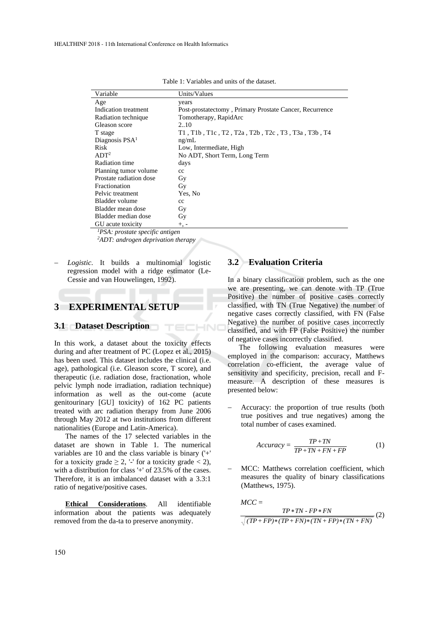| Variable                   | Units/Values                                            |
|----------------------------|---------------------------------------------------------|
| Age                        | years                                                   |
| Indication treatment       | Post-prostatectomy, Primary Prostate Cancer, Recurrence |
| Radiation technique        | Tomotherapy, RapidArc                                   |
| Gleason score              | 2.10                                                    |
| T stage                    | $T1$ , T1b, T1c, T2, T2a, T2b, T2c, T3, T3a, T3b, T4    |
| Diagnosis PSA <sup>1</sup> | ng/mL                                                   |
| <b>Risk</b>                | Low, Intermediate, High                                 |
| ADT <sup>2</sup>           | No ADT, Short Term, Long Term                           |
| Radiation time             | days                                                    |
| Planning tumor volume      | cc                                                      |
| Prostate radiation dose    | Gy                                                      |
| Fractionation              | Gy                                                      |
| Pelvic treatment           | Yes, No                                                 |
| Bladder volume             | $_{cc}$                                                 |
| Bladder mean dose          | Gy                                                      |
| Bladder median dose        | Gy                                                      |
| GU acute toxicity          | $+$ , $-$                                               |

TECHNO

Table 1: Variables and units of the dataset.

*<sup>1</sup>PSA: prostate specific antigen*

*<sup>2</sup>ADT: androgen deprivation therapy*

 *Logistic*. It builds a multinomial logistic regression model with a ridge estimator (Le-Cessie and van Houwelingen, 1992).

# **3 EXPERIMENTAL SETUP**

### **3.1 Dataset Description**

In this work, a dataset about the toxicity effects during and after treatment of PC (Lopez et al., 2015) has been used. This dataset includes the clinical (i.e. age), pathological (i.e. Gleason score, T score), and therapeutic (i.e. radiation dose, fractionation, whole pelvic lymph node irradiation, radiation technique) information as well as the out-come (acute genitourinary [GU] toxicity) of 162 PC patients treated with arc radiation therapy from June 2006 through May 2012 at two institutions from different nationalities (Europe and Latin-America).

The names of the 17 selected variables in the dataset are shown in Table 1. The numerical variables are 10 and the class variable is binary ('+' for a toxicity grade  $\geq 2$ , '-' for a toxicity grade < 2), with a distribution for class '+' of 23.5% of the cases. Therefore, it is an imbalanced dataset with a 3.3:1 ratio of negative/positive cases.

**Ethical Considerations**. All identifiable information about the patients was adequately removed from the da-ta to preserve anonymity.

## **3.2 Evaluation Criteria**

In a binary classification problem, such as the one we are presenting, we can denote with TP (True Positive) the number of positive cases correctly classified, with TN (True Negative) the number of negative cases correctly classified, with FN (False Negative) the number of positive cases incorrectly classified, and with FP (False Positive) the number of negative cases incorrectly classified.

The following evaluation measures were employed in the comparison: accuracy, Matthews correlation co-efficient, the average value of sensitivity and specificity, precision, recall and Fmeasure. A description of these measures is presented below:

 Accuracy: the proportion of true results (both true positives and true negatives) among the total number of cases examined.

$$
Accuracy = \frac{TP + TN}{TP + TN + FN + FP}
$$
 (1)

 MCC: Matthews correlation coefficient, which measures the quality of binary classifications (Matthews, 1975).

$$
MCC =
$$
  

$$
\frac{TP * TN - FP * FN}{\sqrt{(TP + FP) * (TP + FN) * (TN + FP) * (TN + FN)}}
$$
(2)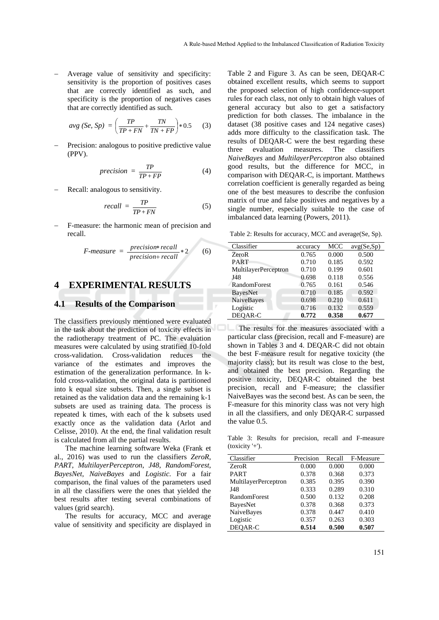Average value of sensitivity and specificity: sensitivity is the proportion of positives cases that are correctly identified as such, and specificity is the proportion of negatives cases that are correctly identified as such.

$$
avg (Se, Sp) = \left(\frac{TP}{TP + FN} + \frac{TN}{TN + FP}\right) * 0.5
$$
 (3)

 Precision: analogous to positive predictive value (PPV).

$$
precision = \frac{TP}{TP + FP}
$$
 (4)

Recall: analogous to sensitivity.

$$
recall = \frac{TP}{TP + FN} \tag{5}
$$

 F-measure: the harmonic mean of precision and recall.

$$
F-measure = \frac{precision*recall}{precision+recall}*2
$$
 (6)

## **4 EXPERIMENTAL RESULTS**

### **4.1 Results of the Comparison**

The classifiers previously mentioned were evaluated in the task about the prediction of toxicity effects in the radiotherapy treatment of PC. The evaluation measures were calculated by using stratified 10-fold cross-validation. Cross-validation reduces the variance of the estimates and improves the estimation of the generalization performance. In kfold cross-validation, the original data is partitioned into k equal size subsets. Then, a single subset is retained as the validation data and the remaining k-1 subsets are used as training data. The process is repeated k times, with each of the k subsets used exactly once as the validation data (Arlot and Celisse, 2010). At the end, the final validation result is calculated from all the partial results.

The machine learning software Weka (Frank et al., 2016) was used to run the classifiers *ZeroR*, *PART*, *MultilayerPerceptron*, *J48*, *RandomForest*, *BayesNet*, *NaiveBayes* and *Logistic*. For a fair comparison, the final values of the parameters used in all the classifiers were the ones that yielded the best results after testing several combinations of values (grid search).

The results for accuracy, MCC and average value of sensitivity and specificity are displayed in

Table 2 and Figure 3. As can be seen, DEQAR-C obtained excellent results, which seems to support the proposed selection of high confidence-support rules for each class, not only to obtain high values of general accuracy but also to get a satisfactory prediction for both classes. The imbalance in the dataset (38 positive cases and 124 negative cases) adds more difficulty to the classification task. The results of DEQAR-C were the best regarding these three evaluation measures. The classifiers *NaiveBayes* and *MultilayerPerceptron* also obtained good results, but the difference for MCC, in comparison with DEQAR-C, is important. Matthews correlation coefficient is generally regarded as being one of the best measures to describe the confusion matrix of true and false positives and negatives by a single number, especially suitable to the case of imbalanced data learning (Powers, 2011).

Table 2: Results for accuracy, MCC and average(Se, Sp).

| Classifier                  | accuracy | MCC   | avg(Se, Sp) |
|-----------------------------|----------|-------|-------------|
| ZeroR                       | 0.765    | 0.000 | 0.500       |
| <b>PART</b>                 | 0.710    | 0.185 | 0.592       |
| <b>MultilayerPerceptron</b> | 0.710    | 0.199 | 0.601       |
| J48                         | 0.698    | 0.118 | 0.556       |
| <b>RandomForest</b>         | 0.765    | 0.161 | 0.546       |
| <b>BayesNet</b>             | 0.710    | 0.185 | 0.592       |
| <b>NaiveBayes</b>           | 0.698    | 0.210 | 0.611       |
| Logistic                    | 0.716    | 0.132 | 0.559       |
| DEOAR-C                     | 0.772    | 0.358 | 0.677       |

The results for the measures associated with a particular class (precision, recall and F-measure) are shown in Tables 3 and 4. DEQAR-C did not obtain the best F-measure result for negative toxicity (the majority class); but its result was close to the best, and obtained the best precision. Regarding the positive toxicity, DEQAR-C obtained the best precision, recall and F-measure; the classifier NaiveBayes was the second best. As can be seen, the F-measure for this minority class was not very high in all the classifiers, and only DEQAR-C surpassed the value 0.5.

Table 3: Results for precision, recall and F-measure (toxicity '+').

| Classifier           | Precision | Recall | F-Measure |
|----------------------|-----------|--------|-----------|
| ZeroR                | 0.000     | 0.000  | 0.000     |
|                      |           |        |           |
| <b>PART</b>          | 0.378     | 0.368  | 0.373     |
| MultilayerPerceptron | 0.385     | 0.395  | 0.390     |
| J48                  | 0.333     | 0.289  | 0.310     |
| <b>RandomForest</b>  | 0.500     | 0.132  | 0.208     |
| <b>BayesNet</b>      | 0.378     | 0.368  | 0.373     |
| NaiveBayes           | 0.378     | 0.447  | 0.410     |
| Logistic             | 0.357     | 0.263  | 0.303     |
| DEOAR-C              | 0.514     | 0.500  | 0.507     |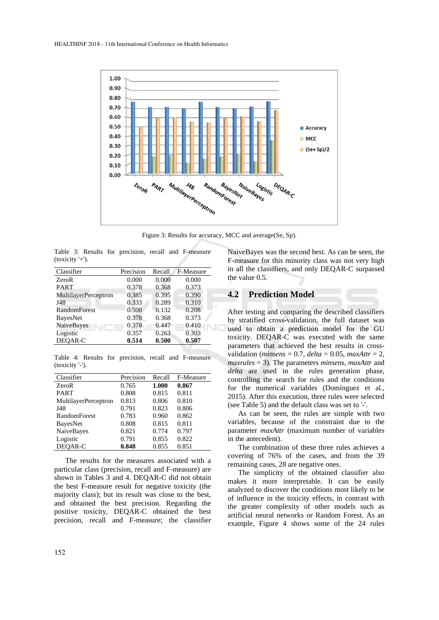

Figure 3: Results for accuracy, MCC and average(Se, Sp).

|                 |  |  |  | Table 3: Results for precision, recall and F-measure |
|-----------------|--|--|--|------------------------------------------------------|
| $(toxicity'+).$ |  |  |  |                                                      |

| Classifier           | Precision | Recall | F-Measure |
|----------------------|-----------|--------|-----------|
| ZeroR                | 0.000     | 0.000  | 0.000     |
| <b>PART</b>          | 0.378     | 0.368  | 0.373     |
| MultilayerPerceptron | 0.385     | 0.395  | 0.390     |
| J48                  | 0.333     | 0.289  | 0.310     |
| <b>RandomForest</b>  | 0.500     | 0.132  | 0.208     |
| <b>BayesNet</b>      | 0.378     | 0.368  | 0.373     |
| NaiveBayes           | 0.378     | 0.447  | 0.410     |
| Logistic             | 0.357     | 0.263  | 0.303     |
| DEOAR-C              | 0.514     | 0.500  | 0.507     |
|                      |           |        |           |

Table 4: Results for precision, recall and F-measure (toxicity '-').

| Classifier                  | Precision | Recall | F-Measure |
|-----------------------------|-----------|--------|-----------|
| ZeroR                       | 0.765     | 1.000  | 0.867     |
| <b>PART</b>                 | 0.808     | 0.815  | 0.811     |
| <b>MultilayerPerceptron</b> | 0.813     | 0.806  | 0.810     |
| J48                         | 0.791     | 0.823  | 0.806     |
| <b>RandomForest</b>         | 0.783     | 0.960  | 0.862     |
| <b>BayesNet</b>             | 0.808     | 0.815  | 0.811     |
| <b>NaiveBayes</b>           | 0.821     | 0.774  | 0.797     |
| Logistic                    | 0.791     | 0.855  | 0.822     |
| DEOAR-C                     | 0.848     | 0.855  | 0.851     |

The results for the measures associated with a particular class (precision, recall and F-measure) are shown in Tables 3 and 4. DEQAR-C did not obtain the best F-measure result for negative toxicity (the majority class); but its result was close to the best, and obtained the best precision. Regarding the positive toxicity, DEQAR-C obtained the best precision, recall and F-measure; the classifier

NaiveBayes was the second best. As can be seen, the F-measure for this minority class was not very high in all the classifiers, and only DEQAR-C surpassed the value 0.5.

## **4.2 Prediction Model**

After testing and comparing the described classifiers by stratified cross-validation, the full dataset was used to obtain a prediction model for the GU toxicity. DEQAR-C was executed with the same parameters that achieved the best results in crossvalidation (*minsens* = 0.7, *delta* = 0.05, *maxAttr* = 2, *maxrules* = 3). The parameters *minsens*, *maxAttr* and *delta* are used in the rules generation phase, controlling the search for rules and the conditions for the numerical variables (Domínguez et al., 2015). After this execution, three rules were selected (see Table 5) and the default class was set to '-'.

As can be seen, the rules are simple with two variables, because of the constraint due to the parameter *maxAttr* (maximum number of variables in the antecedent).

The combination of these three rules achieves a covering of 76% of the cases, and from the 39 remaining cases, 28 are negative ones.

The simplicity of the obtained classifier also makes it more interpretable. It can be easily analyzed to discover the conditions most likely to be of influence in the toxicity effects, in contrast with the greater complexity of other models such as artificial neural networks or Random Forest. As an example, Figure 4 shows some of the 24 rules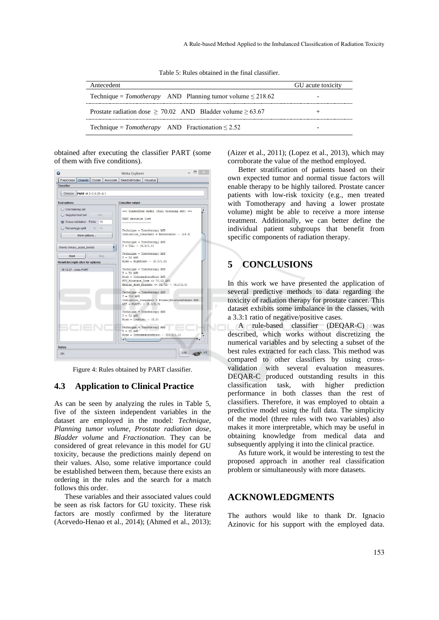Table 5: Rules obtained in the final classifier.

| Antecedent                                                        | GU acute toxicity        |
|-------------------------------------------------------------------|--------------------------|
| Technique = $Tomotherapy$ AND Planning tumor volume $\leq$ 218.62 | -                        |
| Prostate radiation dose $> 70.02$ AND Bladder volume $> 63.67$    |                          |
| Technique = $Tomotherapy$ AND Fractionation $\leq 2.52$           | $\overline{\phantom{0}}$ |

obtained after executing the classifier PART (some of them with five conditions).



Figure 4: Rules obtained by PART classifier.

#### **4.3 Application to Clinical Practice**

As can be seen by analyzing the rules in Table 5, five of the sixteen independent variables in the dataset are employed in the model: *Technique*, *Planning tumor volume*, *Prostate radiation dose*, *Bladder volume* and *Fractionation*. They can be considered of great relevance in this model for GU toxicity, because the predictions mainly depend on their values. Also, some relative importance could be established between them, because there exists an ordering in the rules and the search for a match follows this order.

These variables and their associated values could be seen as risk factors for GU toxicity. These risk factors are mostly confirmed by the literature (Acevedo-Henao et al., 2014); (Ahmed et al., 2013); (Aizer et al., 2011); (Lopez et al., 2013), which may corroborate the value of the method employed.

Better stratification of patients based on their own expected tumor and normal tissue factors will enable therapy to be highly tailored. Prostate cancer patients with low-risk toxicity (e.g., men treated with Tomotherapy and having a lower prostate volume) might be able to receive a more intense treatment. Additionally, we can better define the individual patient subgroups that benefit from specific components of radiation therapy.

# **5 CONCLUSIONS**

In this work we have presented the application of several predictive methods to data regarding the toxicity of radiation therapy for prostate cancer. This dataset exhibits some imbalance in the classes, with a 3.3:1 ratio of negative/positive cases.

A rule-based classifier (DEQAR-C) was described, which works without discretizing the numerical variables and by selecting a subset of the best rules extracted for each class. This method was compared to other classifiers by using crossvalidation with several evaluation measures. DEQAR-C produced outstanding results in this classification task, with higher prediction performance in both classes than the rest of classifiers. Therefore, it was employed to obtain a predictive model using the full data. The simplicity of the model (three rules with two variables) also makes it more interpretable, which may be useful in obtaining knowledge from medical data and subsequently applying it into the clinical practice.

As future work, it would be interesting to test the proposed approach in another real classification problem or simultaneously with more datasets.

## **ACKNOWLEDGMENTS**

The authors would like to thank Dr. Ignacio Azinovic for his support with the employed data.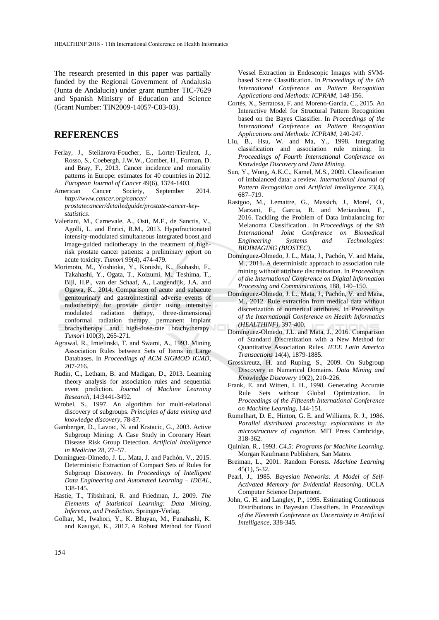The research presented in this paper was partially funded by the Regional Government of Andalusia (Junta de Andalucía) under grant number TIC-7629 and Spanish Ministry of Education and Science (Grant Number: TIN2009-14057-C03-03).

## **REFERENCES**

- Ferlay, J., Steliarova-Foucher, E., Lortet-Tieulent, J., Rosso, S., Coebergh, J.W.W., Comber, H., Forman, D. and Bray, F., 2013. Cancer incidence and mortality patterns in Europe: estimates for 40 countries in 2012. *European Journal of Cancer* 49(6), 1374-1403.
- American Cancer Society, September 2014. *http://www.cancer.org/cancer/ prostatecancer/detailedguide/prostate-cancer-keystatistics*.
- Valeriani, M., Carnevale, A., Osti, M.F., de Sanctis, V., Agolli, L. and Enrici, R.M., 2013. Hypofractionated intensity-modulated simultaneous integrated boost and image-guided radiotherapy in the treatment of highrisk prostate cancer patients: a preliminary report on acute toxicity. *Tumori* 99(4), 474-479.
- Morimoto, M., Yoshioka, Y., Konishi, K., Isohashi, F., Takahashi, Y., Ogata, T., Koizumi, M., Teshima, T., Bijl, H.P., van der Schaaf, A., Langendijk, J.A. and Ogawa, K., 2014. Comparison of acute and subacute genitourinary and gastrointestinal adverse events of radiotherapy for prostate cancer using intensitymodulated radiation therapy, three-dimensional conformal radiation therapy, permanent implant brachytherapy and high-dose-rate brachytherapy. *Tumori* 100(3), 265-271.
- Agrawal, R., Imielinski, T. and Swami, A., 1993. Mining Association Rules between Sets of Items in Large Databases. In *Proceedings of ACM SIGMOD ICMD*, 207-216.
- Rudin, C., Letham, B. and Madigan, D., 2013. Learning theory analysis for association rules and sequential event prediction. *Journal of Machine Learning Research*, 14:3441-3492.
- Wrobel, S., 1997. An algorithm for multi-relational discovery of subgroups. *Principles of data mining and knowledge discovery*, 78-87.
- Gamberger, D., Lavrac, N. and Krstacic, G., 2003. Active Subgroup Mining: A Case Study in Coronary Heart Disease Risk Group Detection. *Artificial Intelligence in Medicine* 28, 27–57.
- Domínguez-Olmedo, J. L., Mata, J. and Pachón, V., 2015. Deterministic Extraction of Compact Sets of Rules for Subgroup Discovery. In *Proceedings of Intelligent Data Engineering and Automated Learning – IDEAL*, 138-145.
- Hastie, T., Tibshirani, R. and Friedman, J., 2009. *The Elements of Statistical Learning: Data Mining, Inference, and Prediction*. Springer-Verlag.
- Golhar, M., Iwahori, Y., K. Bhuyan, M., Funahashi, K. and Kasugai, K., 2017. A Robust Method for Blood

Vessel Extraction in Endoscopic Images with SVMbased Scene Classification. In *Proceedings of the 6th International Conference on Pattern Recognition Applications and Methods: ICPRAM,* 148-156.

- Cortés, X., Serratosa, F. and Moreno-García, C., 2015. An Interactive Model for Structural Pattern Recognition based on the Bayes Classifier. In *Proceedings of the International Conference on Pattern Recognition Applications and Methods: ICPRAM*, 240-247.
- Liu, B., Hsu, W. and Ma, Y., 1998. Integrating classification and association rule mining. In *Proceedings of Fourth International Conference on Knowledge Discovery and Data Mining*.
- Sun, Y., Wong, A.K.C., Kamel, M.S., 2009. Classification of imbalanced data: a review. *International Journal of Pattern Recognition and Artificial Intelligence* 23(4), 687–719.
- Rastgoo, M., Lemaitre, G., Massich, J., Morel, O., Marzani, F., Garcia, R. and Meriaudeau, F., 2016. Tackling the Problem of Data Imbalancing for Melanoma Classification . In *Proceedings of the 9th International Joint Conference on Biomedical Engineering Systems and Technologies: BIOIMAGING (BIOSTEC)*.
- Domínguez-Olmedo, J. L., Mata, J., Pachón, V. and Maña, M., 2011. A deterministic approach to association rule mining without attribute discretization. In *Proceedings of the International Conference on Digital Information Processing and Communications*, 188, 140–150.
- Domínguez-Olmedo, J. L., Mata, J., Pachón, V. and Maña, M., 2012. Rule extraction from medical data without discretization of numerical attributes. In *Proceedings of the International Conference on Health Informatics (HEALTHINF)*, 397-400.
- Domínguez-Olmedo, J.L. and Mata, J., 2016. Comparison of Standard Discretization with a New Method for Quantitative Association Rules. *IEEE Latin America Transactions* 14(4), 1879-1885.
- Grosskreutz, H. and Ruping, S., 2009. On Subgroup Discovery in Numerical Domains. *Data Mining and Knowledge Discovery* 19(2), 210–226.
- Frank, E. and Witten, I. H., 1998. Generating Accurate Rule Sets without Global Optimization. In *Proceedings of the Fifteenth International Conference on Machine Learning*, 144-151.
- Rumelhart, D. E., Hinton, G. E. and Williams, R. J., 1986. *Parallel distributed processing: explorations in the microstructure of cognition*. MIT Press Cambridge, 318-362.
- Quinlan, R., 1993. *C4.5: Programs for Machine Learning*. Morgan Kaufmann Publishers, San Mateo.
- Breiman, L., 2001. Random Forests. *Machine Learning* 45(1), 5-32.
- Pearl, J., 1985. *Bayesian Networks: A Model of Self-Activated Memory for Evidential Reasoning*. UCLA Computer Science Department.
- John, G. H. and Langley, P., 1995. Estimating Continuous Distributions in Bayesian Classifiers. In *Proceedings of the Eleventh Conference on Uncertainty in Artificial Intelligence*, 338-345.